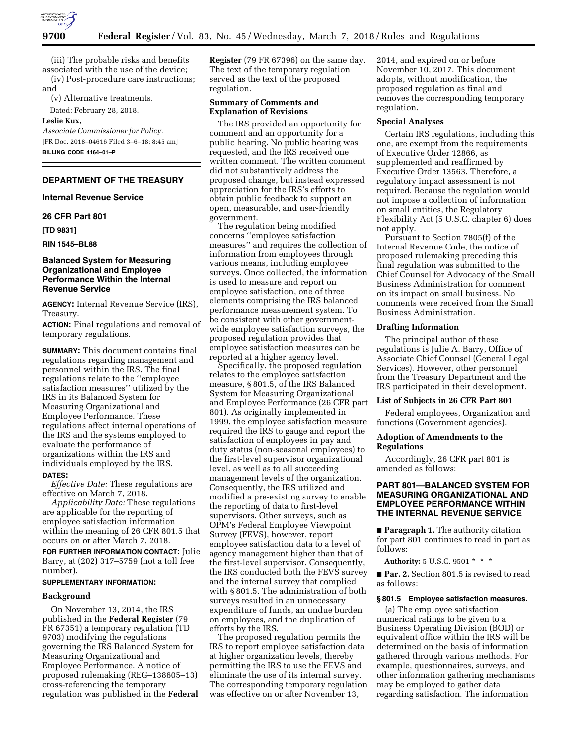

(iii) The probable risks and benefits associated with the use of the device; (iv) Post-procedure care instructions;

and

(v) Alternative treatments.

Dated: February 28, 2018.

#### **Leslie Kux,**

*Associate Commissioner for Policy.*  [FR Doc. 2018–04616 Filed 3–6–18; 8:45 am] **BILLING CODE 4164–01–P** 

# **DEPARTMENT OF THE TREASURY**

**Internal Revenue Service** 

#### **26 CFR Part 801**

**[TD 9831]** 

**RIN 1545–BL88** 

## **Balanced System for Measuring Organizational and Employee Performance Within the Internal Revenue Service**

**AGENCY:** Internal Revenue Service (IRS), Treasury.

**ACTION:** Final regulations and removal of temporary regulations.

**SUMMARY:** This document contains final regulations regarding management and personnel within the IRS. The final regulations relate to the ''employee satisfaction measures'' utilized by the IRS in its Balanced System for Measuring Organizational and Employee Performance. These regulations affect internal operations of the IRS and the systems employed to evaluate the performance of organizations within the IRS and individuals employed by the IRS.

#### **DATES:**

*Effective Date:* These regulations are effective on March 7, 2018.

*Applicability Date:* These regulations are applicable for the reporting of employee satisfaction information within the meaning of 26 CFR 801.5 that occurs on or after March 7, 2018.

**FOR FURTHER INFORMATION CONTACT:** Julie Barry, at (202) 317–5759 (not a toll free number).

### **SUPPLEMENTARY INFORMATION:**

### **Background**

On November 13, 2014, the IRS published in the **Federal Register** (79 FR 67351) a temporary regulation (TD 9703) modifying the regulations governing the IRS Balanced System for Measuring Organizational and Employee Performance. A notice of proposed rulemaking (REG–138605–13) cross-referencing the temporary regulation was published in the **Federal** 

**Register** (79 FR 67396) on the same day. The text of the temporary regulation served as the text of the proposed regulation.

# **Summary of Comments and Explanation of Revisions**

The IRS provided an opportunity for comment and an opportunity for a public hearing. No public hearing was requested, and the IRS received one written comment. The written comment did not substantively address the proposed change, but instead expressed appreciation for the IRS's efforts to obtain public feedback to support an open, measurable, and user-friendly government.

The regulation being modified concerns ''employee satisfaction measures'' and requires the collection of information from employees through various means, including employee surveys. Once collected, the information is used to measure and report on employee satisfaction, one of three elements comprising the IRS balanced performance measurement system. To be consistent with other governmentwide employee satisfaction surveys, the proposed regulation provides that employee satisfaction measures can be reported at a higher agency level.

Specifically, the proposed regulation relates to the employee satisfaction measure, § 801.5, of the IRS Balanced System for Measuring Organizational and Employee Performance (26 CFR part 801). As originally implemented in 1999, the employee satisfaction measure required the IRS to gauge and report the satisfaction of employees in pay and duty status (non-seasonal employees) to the first-level supervisor organizational level, as well as to all succeeding management levels of the organization. Consequently, the IRS utilized and modified a pre-existing survey to enable the reporting of data to first-level supervisors. Other surveys, such as OPM's Federal Employee Viewpoint Survey (FEVS), however, report employee satisfaction data to a level of agency management higher than that of the first-level supervisor. Consequently, the IRS conducted both the FEVS survey and the internal survey that complied with § 801.5. The administration of both surveys resulted in an unnecessary expenditure of funds, an undue burden on employees, and the duplication of efforts by the IRS.

The proposed regulation permits the IRS to report employee satisfaction data at higher organization levels, thereby permitting the IRS to use the FEVS and eliminate the use of its internal survey. The corresponding temporary regulation was effective on or after November 13,

2014, and expired on or before November 10, 2017. This document adopts, without modification, the proposed regulation as final and removes the corresponding temporary regulation.

#### **Special Analyses**

Certain IRS regulations, including this one, are exempt from the requirements of Executive Order 12866, as supplemented and reaffirmed by Executive Order 13563. Therefore, a regulatory impact assessment is not required. Because the regulation would not impose a collection of information on small entities, the Regulatory Flexibility Act (5 U.S.C. chapter 6) does not apply.

Pursuant to Section 7805(f) of the Internal Revenue Code, the notice of proposed rulemaking preceding this final regulation was submitted to the Chief Counsel for Advocacy of the Small Business Administration for comment on its impact on small business. No comments were received from the Small Business Administration.

### **Drafting Information**

The principal author of these regulations is Julie A. Barry, Office of Associate Chief Counsel (General Legal Services). However, other personnel from the Treasury Department and the IRS participated in their development.

### **List of Subjects in 26 CFR Part 801**

Federal employees, Organization and functions (Government agencies).

### **Adoption of Amendments to the Regulations**

Accordingly, 26 CFR part 801 is amended as follows:

# **PART 801—BALANCED SYSTEM FOR MEASURING ORGANIZATIONAL AND EMPLOYEE PERFORMANCE WITHIN THE INTERNAL REVENUE SERVICE**

■ **Paragraph 1.** The authority citation for part 801 continues to read in part as follows:

**Authority:** 5 U.S.C. 9501 \* \* \*

■ **Par. 2.** Section 801.5 is revised to read as follows:

#### **§ 801.5 Employee satisfaction measures.**

(a) The employee satisfaction numerical ratings to be given to a Business Operating Division (BOD) or equivalent office within the IRS will be determined on the basis of information gathered through various methods. For example, questionnaires, surveys, and other information gathering mechanisms may be employed to gather data regarding satisfaction. The information